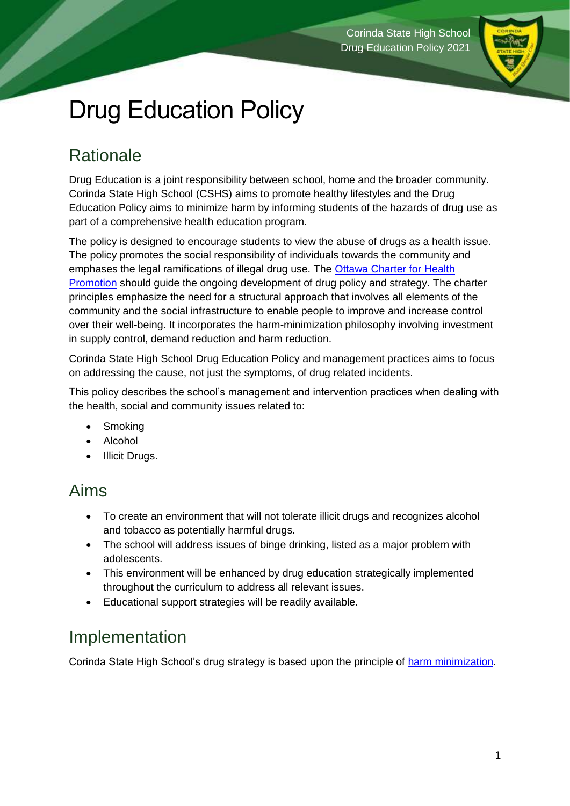

# Drug Education Policy

# **Rationale**

Drug Education is a joint responsibility between school, home and the broader community. Corinda State High School (CSHS) aims to promote healthy lifestyles and the Drug Education Policy aims to minimize harm by informing students of the hazards of drug use as part of a comprehensive health education program.

The policy is designed to encourage students to view the abuse of drugs as a health issue. The policy promotes the social responsibility of individuals towards the community and emphases the legal ramifications of illegal drug use. The [Ottawa Charter for Health](https://www.who.int/teams/health-promotion/enhanced-wellbeing/first-global-conference)  [Promotion](https://www.who.int/teams/health-promotion/enhanced-wellbeing/first-global-conference) should guide the ongoing development of drug policy and strategy. The charter principles emphasize the need for a structural approach that involves all elements of the community and the social infrastructure to enable people to improve and increase control over their well-being. It incorporates the harm-minimization philosophy involving investment in supply control, demand reduction and harm reduction.

Corinda State High School Drug Education Policy and management practices aims to focus on addressing the cause, not just the symptoms, of drug related incidents.

This policy describes the school's management and intervention practices when dealing with the health, social and community issues related to:

- **Smoking**
- **Alcohol**
- Illicit Drugs.

# Aims

- To create an environment that will not tolerate illicit drugs and recognizes alcohol and tobacco as potentially harmful drugs.
- The school will address issues of binge drinking, listed as a major problem with adolescents.
- This environment will be enhanced by drug education strategically implemented throughout the curriculum to address all relevant issues.
- Educational support strategies will be readily available.

# Implementation

Corinda State High School's drug strategy is based upon the principle of [harm minimization.](#page-1-0)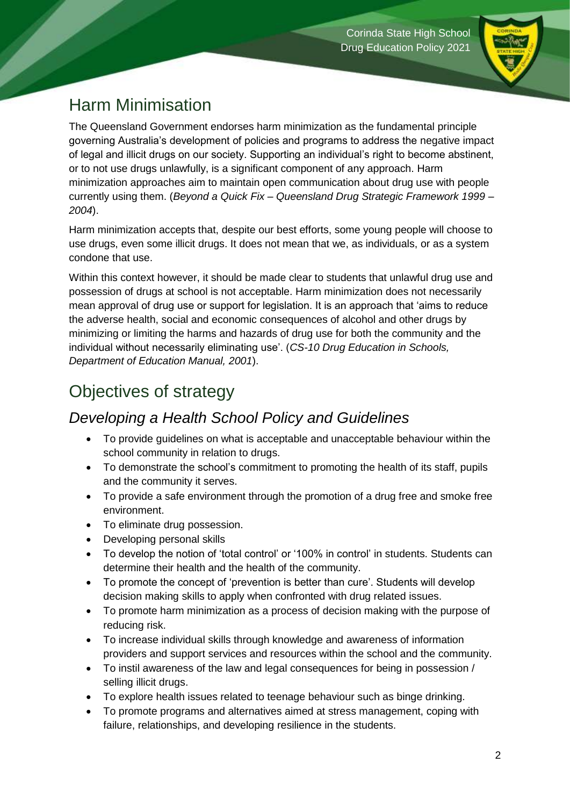

# <span id="page-1-0"></span>Harm Minimisation

The Queensland Government endorses harm minimization as the fundamental principle governing Australia's development of policies and programs to address the negative impact of legal and illicit drugs on our society. Supporting an individual's right to become abstinent, or to not use drugs unlawfully, is a significant component of any approach. Harm minimization approaches aim to maintain open communication about drug use with people currently using them. (*Beyond a Quick Fix – Queensland Drug Strategic Framework 1999 – 2004*).

Harm minimization accepts that, despite our best efforts, some young people will choose to use drugs, even some illicit drugs. It does not mean that we, as individuals, or as a system condone that use.

Within this context however, it should be made clear to students that unlawful drug use and possession of drugs at school is not acceptable. Harm minimization does not necessarily mean approval of drug use or support for legislation. It is an approach that 'aims to reduce the adverse health, social and economic consequences of alcohol and other drugs by minimizing or limiting the harms and hazards of drug use for both the community and the individual without necessarily eliminating use'. (*CS-10 Drug Education in Schools, Department of Education Manual, 2001*).

# Objectives of strategy

#### *Developing a Health School Policy and Guidelines*

- To provide guidelines on what is acceptable and unacceptable behaviour within the school community in relation to drugs.
- To demonstrate the school's commitment to promoting the health of its staff, pupils and the community it serves.
- To provide a safe environment through the promotion of a drug free and smoke free environment.
- To eliminate drug possession.
- Developing personal skills
- To develop the notion of 'total control' or '100% in control' in students. Students can determine their health and the health of the community.
- To promote the concept of 'prevention is better than cure'. Students will develop decision making skills to apply when confronted with drug related issues.
- To promote harm minimization as a process of decision making with the purpose of reducing risk.
- To increase individual skills through knowledge and awareness of information providers and support services and resources within the school and the community.
- To instil awareness of the law and legal consequences for being in possession / selling illicit drugs.
- To explore health issues related to teenage behaviour such as binge drinking.
- To promote programs and alternatives aimed at stress management, coping with failure, relationships, and developing resilience in the students.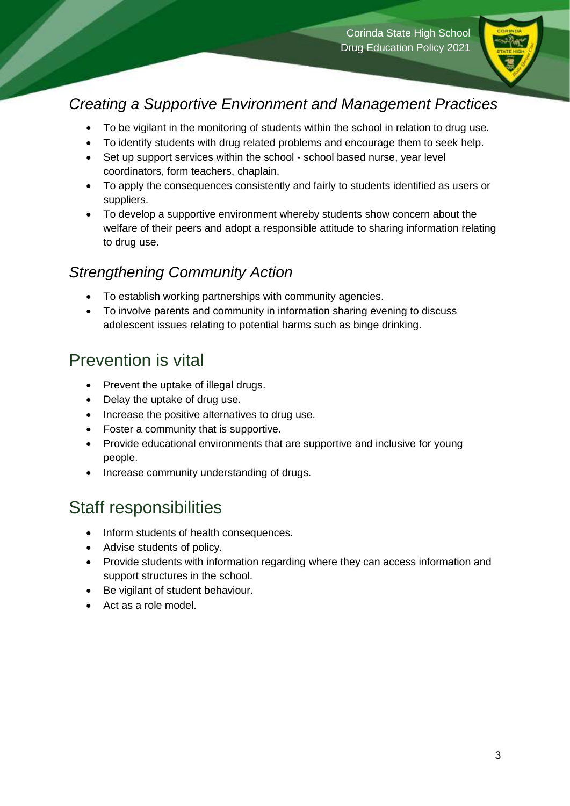

#### *Creating a Supportive Environment and Management Practices*

- To be vigilant in the monitoring of students within the school in relation to drug use.
- To identify students with drug related problems and encourage them to seek help.
- Set up support services within the school school based nurse, year level coordinators, form teachers, chaplain.
- To apply the consequences consistently and fairly to students identified as users or suppliers.
- To develop a supportive environment whereby students show concern about the welfare of their peers and adopt a responsible attitude to sharing information relating to drug use.

#### *Strengthening Community Action*

- To establish working partnerships with community agencies.
- To involve parents and community in information sharing evening to discuss adolescent issues relating to potential harms such as binge drinking.

### Prevention is vital

- Prevent the uptake of illegal drugs.
- Delay the uptake of drug use.
- Increase the positive alternatives to drug use.
- Foster a community that is supportive.
- Provide educational environments that are supportive and inclusive for young people.
- Increase community understanding of drugs.

#### Staff responsibilities

- Inform students of health consequences.
- Advise students of policy.
- Provide students with information regarding where they can access information and support structures in the school.
- Be vigilant of student behaviour.
- Act as a role model.